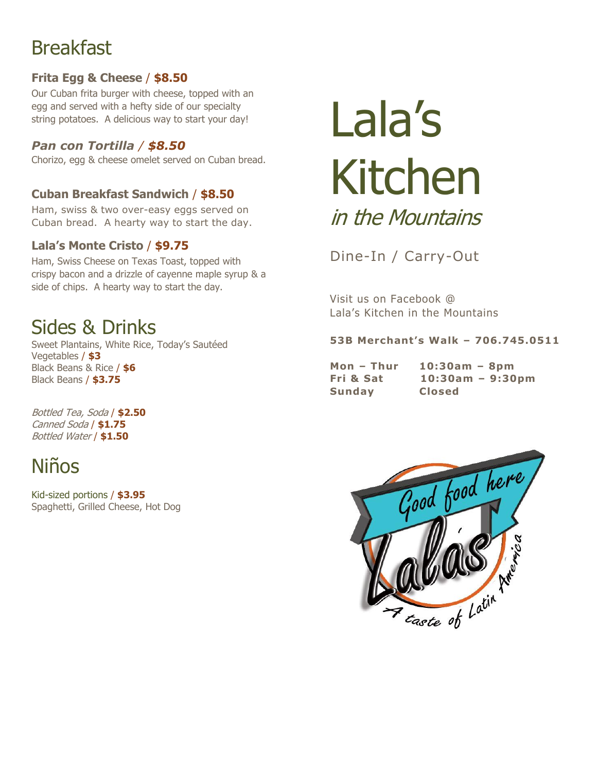# **Breakfast**

## **Frita Egg & Cheese** / **\$8.50**

Our Cuban frita burger with cheese, topped with an egg and served with a hefty side of our specialty string potatoes. A delicious way to start your day!

## *Pan con Tortilla / \$8.50*

Chorizo, egg & cheese omelet served on Cuban bread.

## **Cuban Breakfast Sandwich** / **\$8.50**

Ham, swiss & two over-easy eggs served on Cuban bread. A hearty way to start the day.

## **Lala's Monte Cristo** / **\$9.75**

Ham, Swiss Cheese on Texas Toast, topped with crispy bacon and a drizzle of cayenne maple syrup & a side of chips. A hearty way to start the day.

# Sides & Drinks

Sweet Plantains, White Rice, Today's Sautéed Vegetables / **\$3** Black Beans & Rice / **\$6** Black Beans / **\$3.75**

Bottled Tea, Soda / **\$2.50** Canned Soda / **\$1.75** Bottled Water / **\$1.50**

# Niños

Kid-sized portions / **\$3.95** Spaghetti, Grilled Cheese, Hot Dog

# Lala's Kitchen in the Mountains

Dine-In / Carry-Out

Visit us on Facebook @ Lala's Kitchen in the Mountains

### **53B Merchant's Walk – 706.745.0511**

**Mon – Thur 10:30am – 8pm Fri & Sat 10:30am – 9:30pm Sunday Closed**